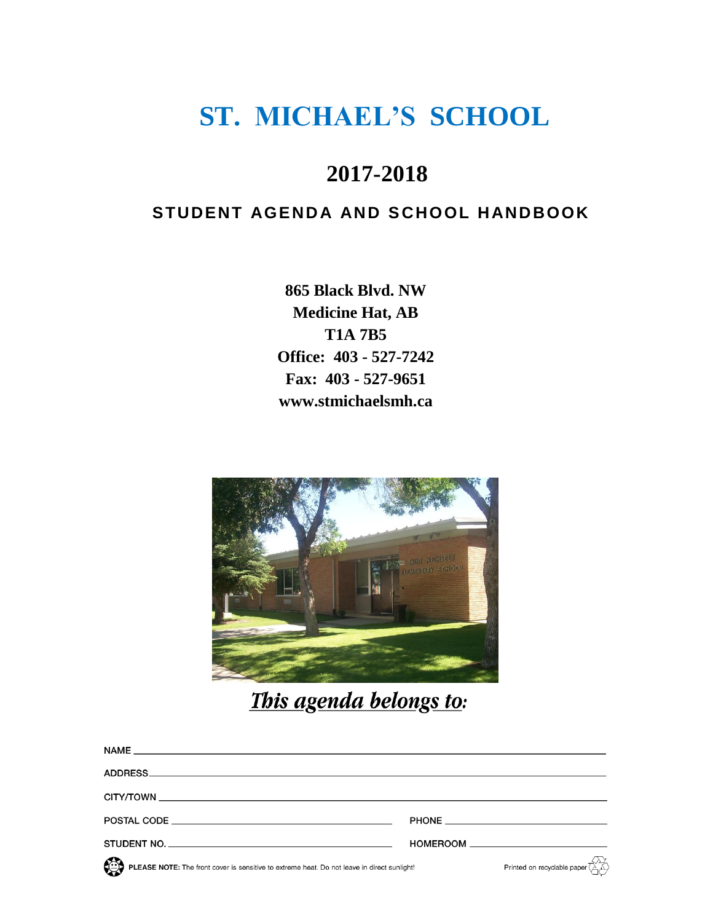# **ST. MICHAEL'S SCHOOL**

# **2017-2018**

## **STUDENT AGENDA AND SCHOOL HANDBOOK**

**865 Black Blvd. NW Medicine Hat, AB T1A 7B5 Office: 403 - 527-7242 Fax: 403 - 527-9651 www.stmichaelsmh.ca**



This agenda belongs to:

| CITY/TOWN CITY/TOWN                                                                         |                                                                                                                                                                                                                                      |
|---------------------------------------------------------------------------------------------|--------------------------------------------------------------------------------------------------------------------------------------------------------------------------------------------------------------------------------------|
| POSTAL CODE <b>AND AN INSTALLATION</b>                                                      | PHONE <u>the contract of the contract of the contract of the contract of the contract of the contract of the contract of the contract of the contract of the contract of the contract of the contract of the contract of the con</u> |
| STUDENT NO.                                                                                 |                                                                                                                                                                                                                                      |
| PLEASE NOTE: The front cover is sensitive to extreme heat. Do not leave in direct sunlight! | Printed on recyclable paper $\overline{\left\langle \bigwedge^2 \right\rangle}$                                                                                                                                                      |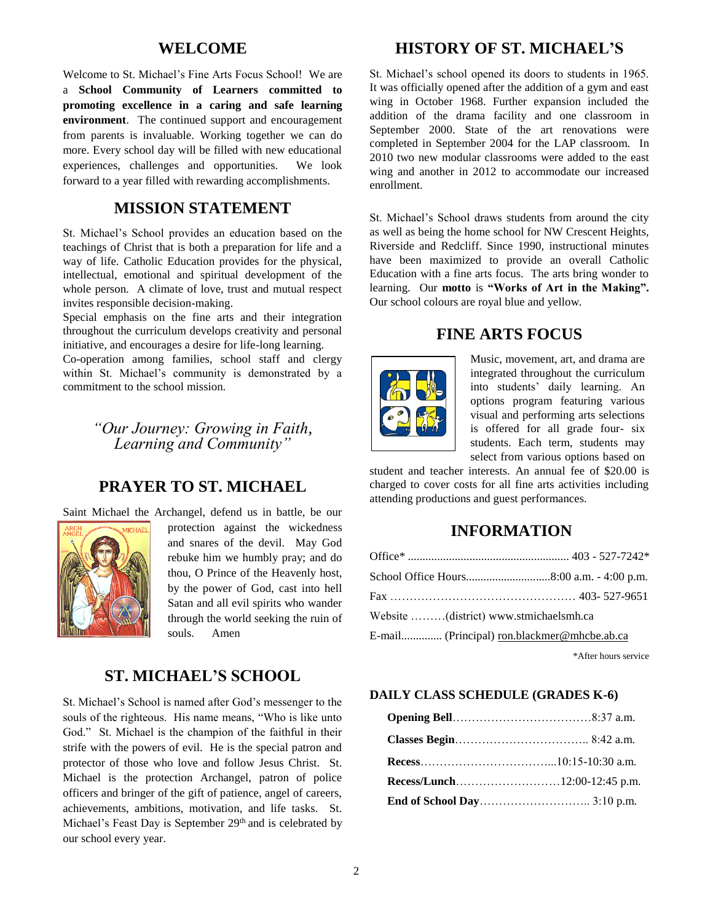#### **WELCOME**

Welcome to St. Michael's Fine Arts Focus School! We are a **School Community of Learners committed to promoting excellence in a caring and safe learning environment**. The continued support and encouragement from parents is invaluable. Working together we can do more. Every school day will be filled with new educational experiences, challenges and opportunities. We look forward to a year filled with rewarding accomplishments.

## **MISSION STATEMENT**

St. Michael's School provides an education based on the teachings of Christ that is both a preparation for life and a way of life. Catholic Education provides for the physical, intellectual, emotional and spiritual development of the whole person. A climate of love, trust and mutual respect invites responsible decision-making.

Special emphasis on the fine arts and their integration throughout the curriculum develops creativity and personal initiative, and encourages a desire for life-long learning.

Co-operation among families, school staff and clergy within St. Michael's community is demonstrated by a commitment to the school mission.

> *"Our Journey: Growing in Faith, Learning and Community"*

## **PRAYER TO ST. MICHAEL**





protection against the wickedness and snares of the devil. May God rebuke him we humbly pray; and do thou, O Prince of the Heavenly host, by the power of God, cast into hell Satan and all evil spirits who wander through the world seeking the ruin of souls. Amen

## **ST. MICHAEL'S SCHOOL**

St. Michael's School is named after God's messenger to the souls of the righteous. His name means, "Who is like unto God." St. Michael is the champion of the faithful in their strife with the powers of evil. He is the special patron and protector of those who love and follow Jesus Christ. St. Michael is the protection Archangel, patron of police officers and bringer of the gift of patience, angel of careers, achievements, ambitions, motivation, and life tasks. St. Michael's Feast Day is September 29<sup>th</sup> and is celebrated by our school every year.

## **HISTORY OF ST. MICHAEL'S**

St. Michael's school opened its doors to students in 1965. It was officially opened after the addition of a gym and east wing in October 1968. Further expansion included the addition of the drama facility and one classroom in September 2000. State of the art renovations were completed in September 2004 for the LAP classroom. In 2010 two new modular classrooms were added to the east wing and another in 2012 to accommodate our increased enrollment.

St. Michael's School draws students from around the city as well as being the home school for NW Crescent Heights, Riverside and Redcliff. Since 1990, instructional minutes have been maximized to provide an overall Catholic Education with a fine arts focus. The arts bring wonder to learning. Our **motto** is **"Works of Art in the Making".**  Our school colours are royal blue and yellow.

## **FINE ARTS FOCUS**



Music, movement, art, and drama are integrated throughout the curriculum into students' daily learning. An options program featuring various visual and performing arts selections is offered for all grade four- six students. Each term, students may select from various options based on

student and teacher interests. An annual fee of \$20.00 is charged to cover costs for all fine arts activities including attending productions and guest performances.

### **INFORMATION**

| Website (district) www.stmichaelsmh.ca      |  |
|---------------------------------------------|--|
| E-mail (Principal) ron.blackmer@mhcbe.ab.ca |  |
|                                             |  |

\*After hours service

#### **DAILY CLASS SCHEDULE (GRADES K-6)**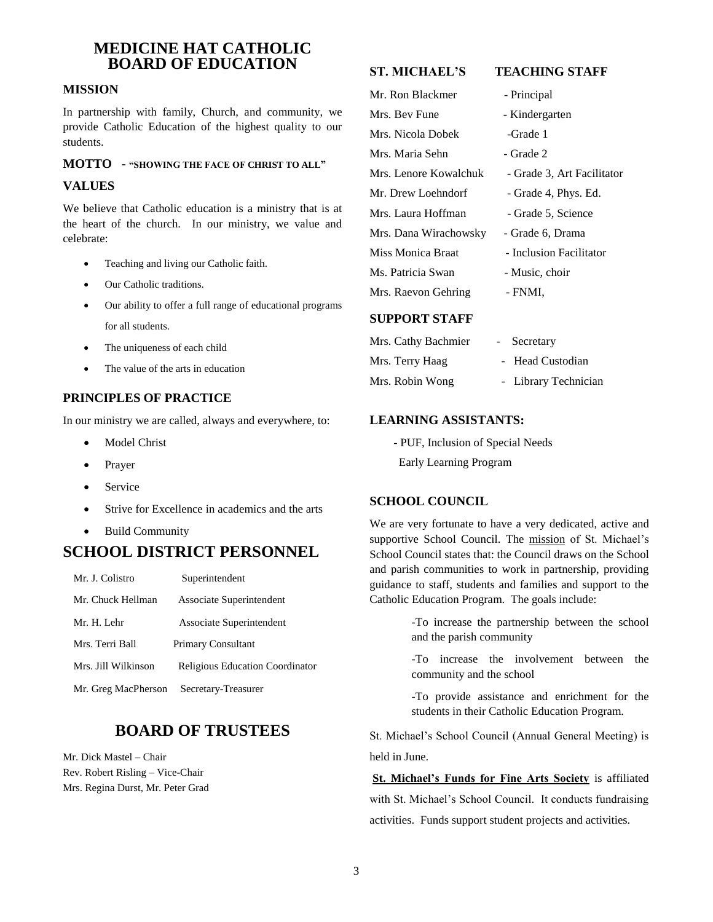## **MEDICINE HAT CATHOLIC BOARD OF EDUCATION**

#### **MISSION**

In partnership with family, Church, and community, we provide Catholic Education of the highest quality to our students.

#### **MOTTO - "SHOWING THE FACE OF CHRIST TO ALL"**

#### **VALUES**

We believe that Catholic education is a ministry that is at the heart of the church. In our ministry, we value and celebrate:

- Teaching and living our Catholic faith.
- Our Catholic traditions.
- Our ability to offer a full range of educational programs for all students.
- The uniqueness of each child
- The value of the arts in education

#### **PRINCIPLES OF PRACTICE**

In our ministry we are called, always and everywhere, to:

- Model Christ
- Prayer
- Service
- Strive for Excellence in academics and the arts
- Build Community

## **SCHOOL DISTRICT PERSONNEL**

| Mr. J. Colistro     | Superintendent                  |
|---------------------|---------------------------------|
| Mr. Chuck Hellman   | Associate Superintendent        |
| Mr. H. Lehr         | Associate Superintendent        |
| Mrs. Terri Ball     | <b>Primary Consultant</b>       |
| Mrs. Jill Wilkinson | Religious Education Coordinator |
| Mr. Greg MacPherson | Secretary-Treasurer             |

## **BOARD OF TRUSTEES**

Mr. Dick Mastel – Chair Rev. Robert Risling – Vice-Chair Mrs. Regina Durst, Mr. Peter Grad

#### **ST. MICHAEL'S TEACHING STAFF**

| Mr. Ron Blackmer      | - Principal                |
|-----------------------|----------------------------|
| Mrs. Bev Fune         | - Kindergarten             |
| Mrs. Nicola Dobek     | -Grade 1                   |
| Mrs. Maria Sehn       | - Grade 2                  |
| Mrs. Lenore Kowalchuk | - Grade 3, Art Facilitator |
| Mr. Drew Loehndorf    | - Grade 4, Phys. Ed.       |
| Mrs. Laura Hoffman    | - Grade 5, Science         |
| Mrs. Dana Wirachowsky | - Grade 6, Drama           |
| Miss Monica Braat     | - Inclusion Facilitator    |
| Ms. Patricia Swan     | - Music, choir             |
| Mrs. Raevon Gehring   | - FNMI.                    |
|                       |                            |

#### **SUPPORT STAFF**

| Mrs. Cathy Bachmier | - Secretary          |
|---------------------|----------------------|
| Mrs. Terry Haag     | - Head Custodian     |
| Mrs. Robin Wong     | - Library Technician |

#### **LEARNING ASSISTANTS:**

- PUF, Inclusion of Special Needs

Early Learning Program

#### **SCHOOL COUNCIL**

We are very fortunate to have a very dedicated, active and supportive School Council. The mission of St. Michael's School Council states that: the Council draws on the School and parish communities to work in partnership, providing guidance to staff, students and families and support to the Catholic Education Program. The goals include:

> -To increase the partnership between the school and the parish community

> -To increase the involvement between the community and the school

> -To provide assistance and enrichment for the students in their Catholic Education Program.

St. Michael's School Council (Annual General Meeting) is held in June.

**St. Michael's Funds for Fine Arts Society** is affiliated with St. Michael's School Council. It conducts fundraising activities. Funds support student projects and activities.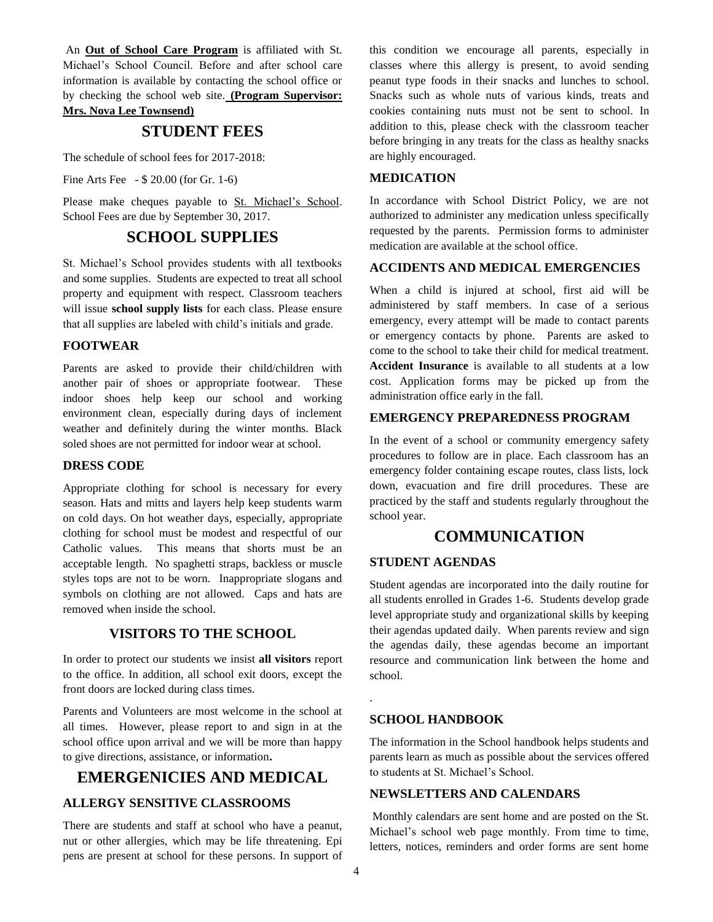An **Out of School Care Program** is affiliated with St. Michael's School Council. Before and after school care information is available by contacting the school office or by checking the school web site. **(Program Supervisor: Mrs. Nova Lee Townsend)**

## **STUDENT FEES**

The schedule of school fees for 2017-2018:

Fine Arts Fee - \$ 20.00 (for Gr. 1-6)

Please make cheques payable to St. Michael's School. School Fees are due by September 30, 2017.

## **SCHOOL SUPPLIES**

St. Michael's School provides students with all textbooks and some supplies. Students are expected to treat all school property and equipment with respect. Classroom teachers will issue **school supply lists** for each class. Please ensure that all supplies are labeled with child's initials and grade.

#### **FOOTWEAR**

Parents are asked to provide their child/children with another pair of shoes or appropriate footwear. These indoor shoes help keep our school and working environment clean, especially during days of inclement weather and definitely during the winter months. Black soled shoes are not permitted for indoor wear at school.

#### **DRESS CODE**

Appropriate clothing for school is necessary for every season. Hats and mitts and layers help keep students warm on cold days. On hot weather days, especially, appropriate clothing for school must be modest and respectful of our Catholic values. This means that shorts must be an acceptable length. No spaghetti straps, backless or muscle styles tops are not to be worn. Inappropriate slogans and symbols on clothing are not allowed. Caps and hats are removed when inside the school.

#### **VISITORS TO THE SCHOOL**

In order to protect our students we insist **all visitors** report to the office. In addition, all school exit doors, except the front doors are locked during class times.

Parents and Volunteers are most welcome in the school at all times. However, please report to and sign in at the school office upon arrival and we will be more than happy to give directions, assistance, or information**.**

## **EMERGENICIES AND MEDICAL**

#### **ALLERGY SENSITIVE CLASSROOMS**

There are students and staff at school who have a peanut, nut or other allergies, which may be life threatening. Epi pens are present at school for these persons. In support of

this condition we encourage all parents, especially in classes where this allergy is present, to avoid sending peanut type foods in their snacks and lunches to school. Snacks such as whole nuts of various kinds, treats and cookies containing nuts must not be sent to school. In addition to this, please check with the classroom teacher before bringing in any treats for the class as healthy snacks are highly encouraged.

#### **MEDICATION**

In accordance with School District Policy, we are not authorized to administer any medication unless specifically requested by the parents. Permission forms to administer medication are available at the school office.

#### **ACCIDENTS AND MEDICAL EMERGENCIES**

When a child is injured at school, first aid will be administered by staff members. In case of a serious emergency, every attempt will be made to contact parents or emergency contacts by phone. Parents are asked to come to the school to take their child for medical treatment. **Accident Insurance** is available to all students at a low cost. Application forms may be picked up from the administration office early in the fall.

#### **EMERGENCY PREPAREDNESS PROGRAM**

In the event of a school or community emergency safety procedures to follow are in place. Each classroom has an emergency folder containing escape routes, class lists, lock down, evacuation and fire drill procedures. These are practiced by the staff and students regularly throughout the school year.

## **COMMUNICATION**

#### **STUDENT AGENDAS**

Student agendas are incorporated into the daily routine for all students enrolled in Grades 1-6. Students develop grade level appropriate study and organizational skills by keeping their agendas updated daily. When parents review and sign the agendas daily, these agendas become an important resource and communication link between the home and school.

#### **SCHOOL HANDBOOK**

The information in the School handbook helps students and parents learn as much as possible about the services offered to students at St. Michael's School.

#### **NEWSLETTERS AND CALENDARS**

Monthly calendars are sent home and are posted on the St. Michael's school web page monthly. From time to time, letters, notices, reminders and order forms are sent home

.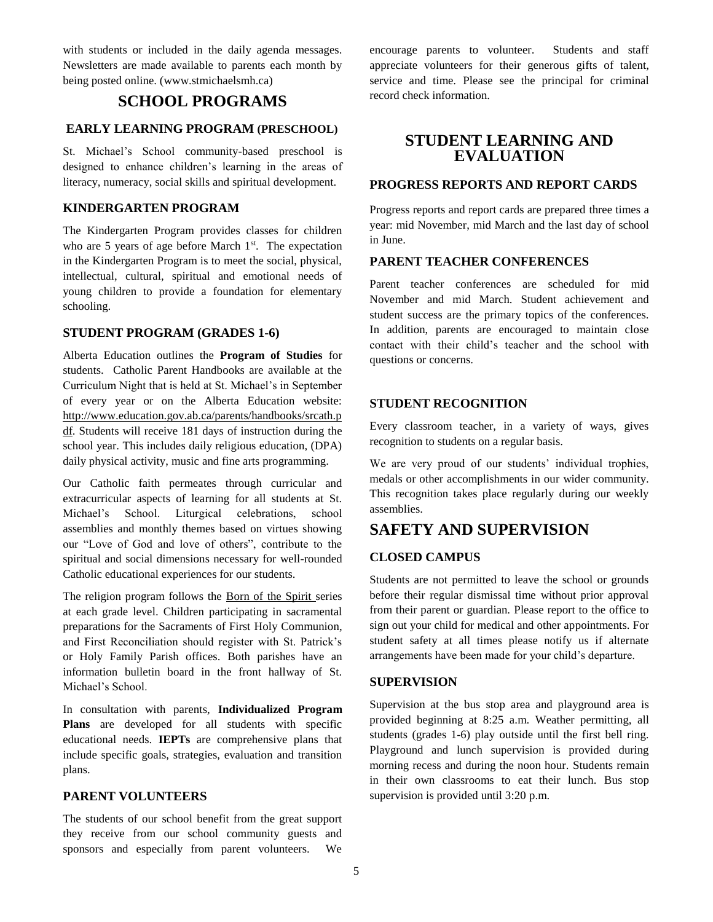with students or included in the daily agenda messages. Newsletters are made available to parents each month by being posted online. (www.stmichaelsmh.ca)

## **SCHOOL PROGRAMS**

#### **EARLY LEARNING PROGRAM (PRESCHOOL)**

St. Michael's School community-based preschool is designed to enhance children's learning in the areas of literacy, numeracy, social skills and spiritual development.

#### **KINDERGARTEN PROGRAM**

The Kindergarten Program provides classes for children who are 5 years of age before March 1<sup>st</sup>. The expectation in the Kindergarten Program is to meet the social, physical, intellectual, cultural, spiritual and emotional needs of young children to provide a foundation for elementary schooling.

#### **STUDENT PROGRAM (GRADES 1-6)**

Alberta Education outlines the **Program of Studies** for students. Catholic Parent Handbooks are available at the Curriculum Night that is held at St. Michael's in September of every year or on the Alberta Education website: [http://www.education.gov.ab.ca/parents/handbooks/srcath.p](http://www.education.gov.ab.ca/parents/handbooks/srcath.pdf) [df.](http://www.education.gov.ab.ca/parents/handbooks/srcath.pdf) Students will receive 181 days of instruction during the school year. This includes daily religious education, (DPA) daily physical activity, music and fine arts programming.

Our Catholic faith permeates through curricular and extracurricular aspects of learning for all students at St. Michael's School. Liturgical celebrations, school assemblies and monthly themes based on virtues showing our "Love of God and love of others", contribute to the spiritual and social dimensions necessary for well-rounded Catholic educational experiences for our students.

The religion program follows the Born of the Spirit series at each grade level. Children participating in sacramental preparations for the Sacraments of First Holy Communion, and First Reconciliation should register with St. Patrick's or Holy Family Parish offices. Both parishes have an information bulletin board in the front hallway of St. Michael's School.

In consultation with parents, **Individualized Program Plans** are developed for all students with specific educational needs. **IEPTs** are comprehensive plans that include specific goals, strategies, evaluation and transition plans.

#### **PARENT VOLUNTEERS**

The students of our school benefit from the great support they receive from our school community guests and sponsors and especially from parent volunteers. We

encourage parents to volunteer. Students and staff appreciate volunteers for their generous gifts of talent, service and time. Please see the principal for criminal record check information.

## **STUDENT LEARNING AND EVALUATION**

#### **PROGRESS REPORTS AND REPORT CARDS**

Progress reports and report cards are prepared three times a year: mid November, mid March and the last day of school in June.

#### **PARENT TEACHER CONFERENCES**

Parent teacher conferences are scheduled for mid November and mid March. Student achievement and student success are the primary topics of the conferences. In addition, parents are encouraged to maintain close contact with their child's teacher and the school with questions or concerns.

#### **STUDENT RECOGNITION**

Every classroom teacher, in a variety of ways, gives recognition to students on a regular basis.

We are very proud of our students' individual trophies, medals or other accomplishments in our wider community. This recognition takes place regularly during our weekly assemblies.

## **SAFETY AND SUPERVISION**

#### **CLOSED CAMPUS**

Students are not permitted to leave the school or grounds before their regular dismissal time without prior approval from their parent or guardian. Please report to the office to sign out your child for medical and other appointments. For student safety at all times please notify us if alternate arrangements have been made for your child's departure.

#### **SUPERVISION**

Supervision at the bus stop area and playground area is provided beginning at 8:25 a.m. Weather permitting, all students (grades 1-6) play outside until the first bell ring. Playground and lunch supervision is provided during morning recess and during the noon hour. Students remain in their own classrooms to eat their lunch. Bus stop supervision is provided until 3:20 p.m.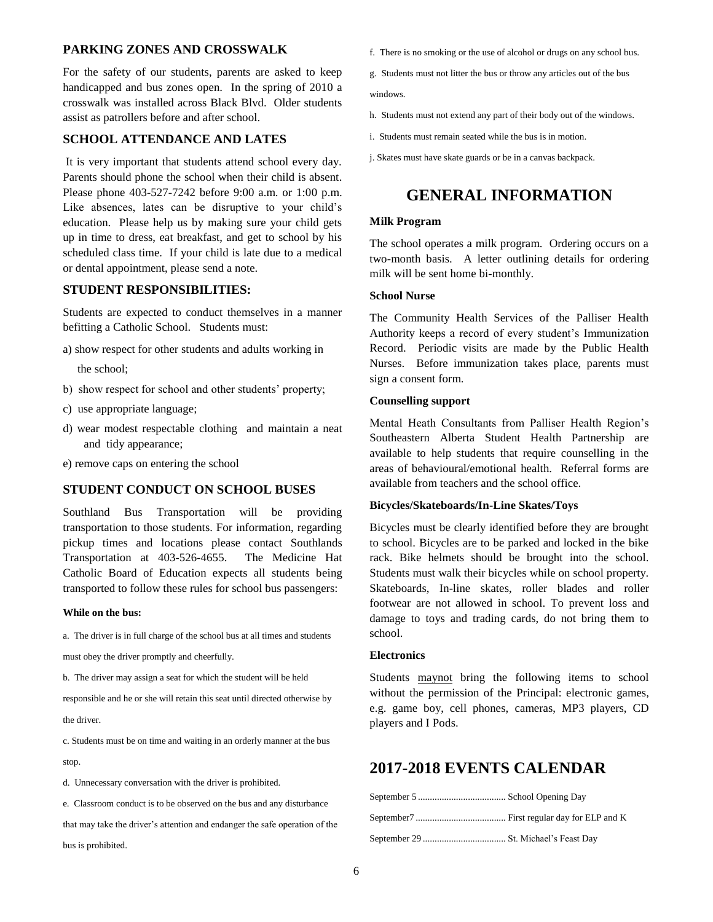#### **PARKING ZONES AND CROSSWALK**

For the safety of our students, parents are asked to keep handicapped and bus zones open. In the spring of 2010 a crosswalk was installed across Black Blvd. Older students assist as patrollers before and after school.

#### **SCHOOL ATTENDANCE AND LATES**

It is very important that students attend school every day. Parents should phone the school when their child is absent. Please phone 403-527-7242 before 9:00 a.m. or 1:00 p.m. Like absences, lates can be disruptive to your child's education. Please help us by making sure your child gets up in time to dress, eat breakfast, and get to school by his scheduled class time. If your child is late due to a medical or dental appointment, please send a note.

#### **STUDENT RESPONSIBILITIES:**

Students are expected to conduct themselves in a manner befitting a Catholic School. Students must:

- a) show respect for other students and adults working in the school;
- b) show respect for school and other students' property;
- c) use appropriate language;
- d) wear modest respectable clothing and maintain a neat and tidy appearance;
- e) remove caps on entering the school

#### **STUDENT CONDUCT ON SCHOOL BUSES**

Southland Bus Transportation will be providing transportation to those students. For information, regarding pickup times and locations please contact Southlands Transportation at 403-526-4655. The Medicine Hat Catholic Board of Education expects all students being transported to follow these rules for school bus passengers:

#### **While on the bus:**

a. The driver is in full charge of the school bus at all times and students

must obey the driver promptly and cheerfully.

b. The driver may assign a seat for which the student will be held

responsible and he or she will retain this seat until directed otherwise by the driver.

c. Students must be on time and waiting in an orderly manner at the bus stop.

d. Unnecessary conversation with the driver is prohibited.

e. Classroom conduct is to be observed on the bus and any disturbance that may take the driver's attention and endanger the safe operation of the bus is prohibited.

- f. There is no smoking or the use of alcohol or drugs on any school bus.
- g. Students must not litter the bus or throw any articles out of the bus

windows.

- h. Students must not extend any part of their body out of the windows.
- i. Students must remain seated while the bus is in motion.
- j. Skates must have skate guards or be in a canvas backpack.

## **GENERAL INFORMATION**

#### **Milk Program**

The school operates a milk program. Ordering occurs on a two-month basis. A letter outlining details for ordering milk will be sent home bi-monthly.

#### **School Nurse**

The Community Health Services of the Palliser Health Authority keeps a record of every student's Immunization Record. Periodic visits are made by the Public Health Nurses. Before immunization takes place, parents must sign a consent form.

#### **Counselling support**

Mental Heath Consultants from Palliser Health Region's Southeastern Alberta Student Health Partnership are available to help students that require counselling in the areas of behavioural/emotional health. Referral forms are available from teachers and the school office.

#### **Bicycles/Skateboards/In-Line Skates/Toys**

Bicycles must be clearly identified before they are brought to school. Bicycles are to be parked and locked in the bike rack. Bike helmets should be brought into the school. Students must walk their bicycles while on school property. Skateboards, In-line skates, roller blades and roller footwear are not allowed in school. To prevent loss and damage to toys and trading cards, do not bring them to school.

#### **Electronics**

Students maynot bring the following items to school without the permission of the Principal: electronic games, e.g. game boy, cell phones, cameras, MP3 players, CD players and I Pods.

## **2017-2018 EVENTS CALENDAR**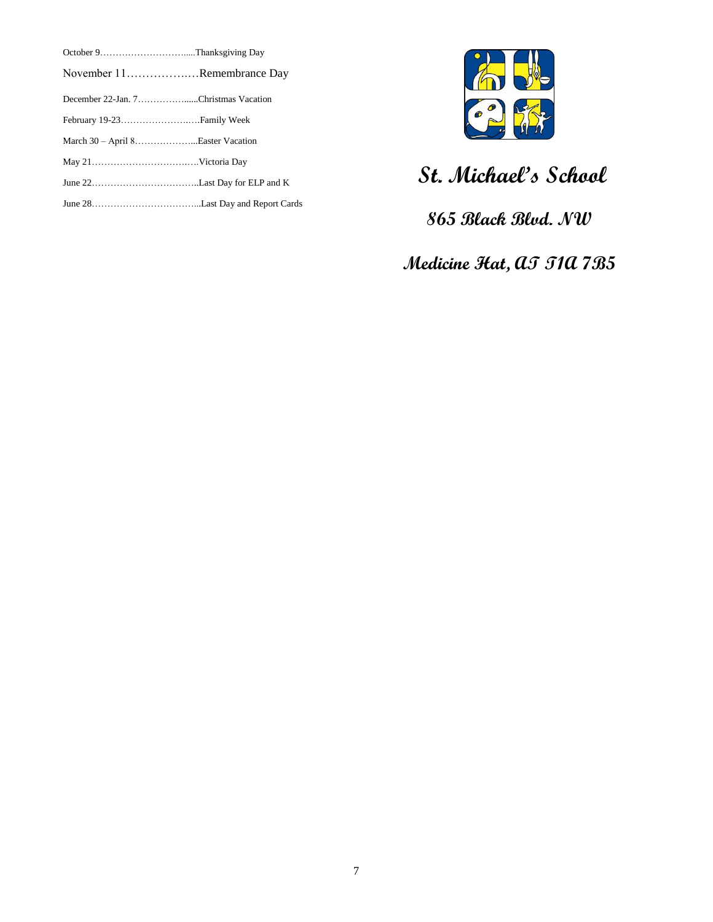| November 11Remembrance Day           |  |
|--------------------------------------|--|
| December 22-Jan. 7Christmas Vacation |  |
|                                      |  |
| March 30 – April 8Easter Vacation    |  |
|                                      |  |
|                                      |  |
|                                      |  |



**St. Michael's School**

**865 Black Blvd. NW**

**Medicine Hat, AT T1A 7B5**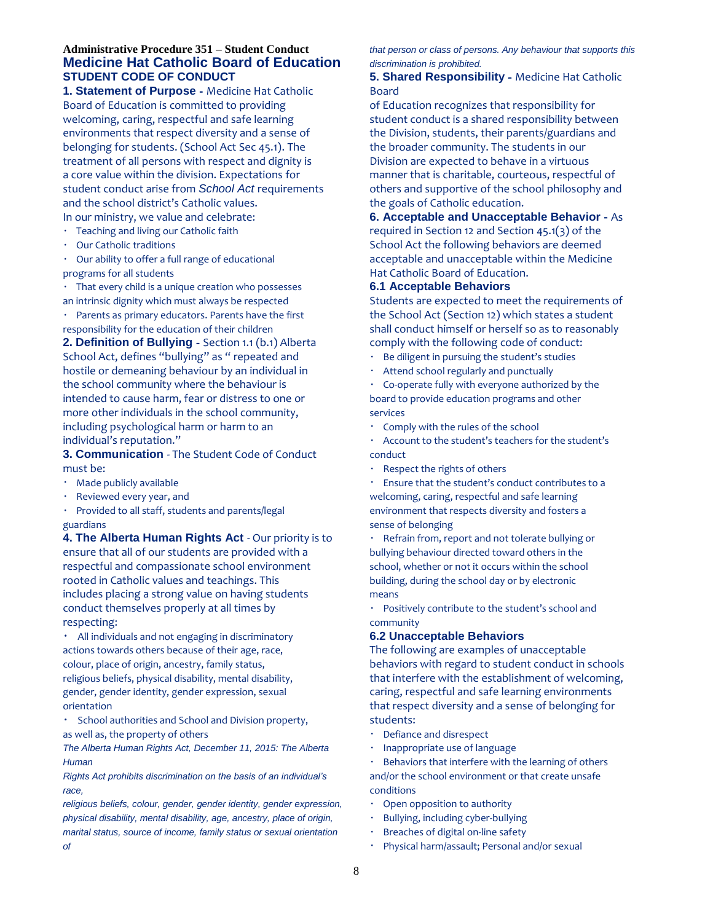#### **Administrative Procedure 351 – Student Conduct Medicine Hat Catholic Board of Education STUDENT CODE OF CONDUCT**

**1. Statement of Purpose** ‐ Medicine Hat Catholic Board of Education is committed to providing welcoming, caring, respectful and safe learning environments that respect diversity and a sense of belonging for students. (School Act Sec 45.1). The treatment of all persons with respect and dignity is a core value within the division. Expectations for student conduct arise from *School Act* requirements and the school district's Catholic values. In our ministry, we value and celebrate:

Teaching and living our Catholic faith

Our Catholic traditions

Our ability to offer a full range of educational programs for all students

That every child is a unique creation who possesses an intrinsic dignity which must always be respected

Parents as primary educators. Parents have the first responsibility for the education of their children

**2. Definition of Bullying** ‐ Section 1.1 (b.1) Alberta School Act, defines "bullying" as " repeated and hostile or demeaning behaviour by an individual in the school community where the behaviour is intended to cause harm, fear or distress to one or more other individuals in the school community, including psychological harm or harm to an individual's reputation."

**3. Communication** ‐ The Student Code of Conduct must be:

- Made publicly available
- Reviewed every year, and

Provided to all staff, students and parents/legal guardians

**4. The Alberta Human Rights Act** ‐ Our priority is to ensure that all of our students are provided with a respectful and compassionate school environment rooted in Catholic values and teachings. This includes placing a strong value on having students conduct themselves properly at all times by respecting:

All individuals and not engaging in discriminatory actions towards others because of their age, race, colour, place of origin, ancestry, family status, religious beliefs, physical disability, mental disability, gender, gender identity, gender expression, sexual orientation

School authorities and School and Division property, as well as, the property of others

*The Alberta Human Rights Act, December 11, 2015: The Alberta Human*

*Rights Act prohibits discrimination on the basis of an individual's race,*

*religious beliefs, colour, gender, gender identity, gender expression, physical disability, mental disability, age, ancestry, place of origin, marital status, source of income, family status or sexual orientation of*

*that person or class of persons. Any behaviour that supports this discrimination is prohibited.*

#### **5. Shared Responsibility** ‐ Medicine Hat Catholic Board

of Education recognizes that responsibility for student conduct is a shared responsibility between the Division, students, their parents/guardians and the broader community. The students in our Division are expected to behave in a virtuous manner that is charitable, courteous, respectful of others and supportive of the school philosophy and the goals of Catholic education.

**6. Acceptable and Unacceptable Behavior** ‐ As required in Section 12 and Section 45.1(3) of the School Act the following behaviors are deemed acceptable and unacceptable within the Medicine Hat Catholic Board of Education.

#### **6.1 Acceptable Behaviors**

Students are expected to meet the requirements of the School Act (Section 12) which states a student shall conduct himself or herself so as to reasonably comply with the following code of conduct:

- Be diligent in pursuing the student's studies
- $\bullet$  . Attend school regularly and punctually

Co‐operate fully with everyone authorized by the board to provide education programs and other services

 $\mathbf{r}$  . Comply with the rules of the school

Account to the student's teachers for the student's conduct

Respect the rights of others

Ensure that the student's conduct contributes to a  $\epsilon$ welcoming, caring, respectful and safe learning environment that respects diversity and fosters a sense of belonging

Refrain from, report and not tolerate bullying or bullying behaviour directed toward others in the school, whether or not it occurs within the school building, during the school day or by electronic means

Positively contribute to the student's school and  $\epsilon$ community

#### **6.2 Unacceptable Behaviors**

The following are examples of unacceptable behaviors with regard to student conduct in schools that interfere with the establishment of welcoming, caring, respectful and safe learning environments that respect diversity and a sense of belonging for students:

- $\bullet$  . Defiance and disrespect
- Inappropriate use of language

Behaviors that interfere with the learning of others and/or the school environment or that create unsafe conditions

- Open opposition to authority
- Bullying, including cyber‐bullying
- Breaches of digital on‐line safety
- Physical harm/assault; Personal and/or sexual